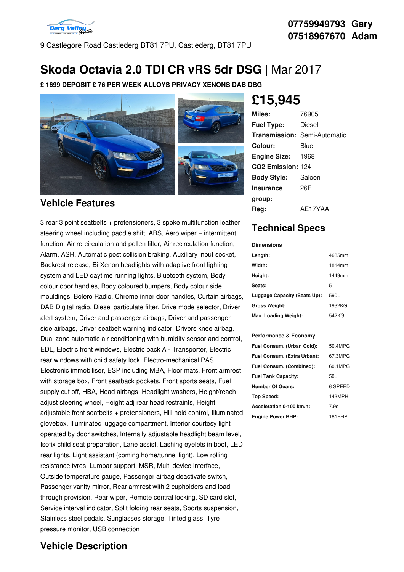

9 Castlegore Road Castlederg BT81 7PU, Castlederg, BT81 7PU

## **Skoda Octavia 2.0 TDI CR vRS 5dr DSG** | Mar 2017

**£ 1699 DEPOSIT £ 76 PER WEEK ALLOYS PRIVACY XENONS DAB DSG**



#### **Vehicle Features**

3 rear 3 point seatbelts + pretensioners, 3 spoke multifunction leather steering wheel including paddle shift, ABS, Aero wiper + intermittent function, Air re-circulation and pollen filter, Air recirculation function, Alarm, ASR, Automatic post collision braking, Auxiliary input socket, Backrest release, Bi Xenon headlights with adaptive front lighting system and LED daytime running lights, Bluetooth system, Body colour door handles, Body coloured bumpers, Body colour side mouldings, Bolero Radio, Chrome inner door handles, Curtain airbags, DAB Digital radio, Diesel particulate filter, Drive mode selector, Driver alert system, Driver and passenger airbags, Driver and passenger side airbags, Driver seatbelt warning indicator, Drivers knee airbag, Dual zone automatic air conditioning with humidity sensor and control, EDL, Electric front windows, Electric pack A - Transporter, Electric rear windows with child safety lock, Electro-mechanical PAS, Electronic immobiliser, ESP including MBA, Floor mats, Front armrest with storage box, Front seatback pockets, Front sports seats, Fuel supply cut off, HBA, Head airbags, Headlight washers, Height/reach adjust steering wheel, Height adj rear head restraints, Height adjustable front seatbelts + pretensioners, Hill hold control, Illuminated glovebox, Illuminated luggage compartment, Interior courtesy light operated by door switches, Internally adjustable headlight beam level, Isofix child seat preparation, Lane assist, Lashing eyelets in boot, LED rear lights, Light assistant (coming home/tunnel light), Low rolling resistance tyres, Lumbar support, MSR, Multi device interface, Outside temperature gauge, Passenger airbag deactivate switch, Passenger vanity mirror, Rear armrest with 2 cupholders and load through provision, Rear wiper, Remote central locking, SD card slot, Service interval indicator, Split folding rear seats, Sports suspension, Stainless steel pedals, Sunglasses storage, Tinted glass, Tyre pressure monitor, USB connection

# **£15,945**

| Miles:                              | 76905   |
|-------------------------------------|---------|
| <b>Fuel Type:</b>                   | Diesel  |
| <b>Transmission: Semi-Automatic</b> |         |
| Colour:                             | Blue    |
| <b>Engine Size: 1968</b>            |         |
| CO2 Emission: 124                   |         |
| <b>Body Style:</b>                  | Saloon  |
| <b>Insurance</b>                    | 26F     |
| group:                              |         |
| Rea:                                | AE17YAA |

## **Technical Specs**

**Dimensions**

| <b>DIIIEISOIS</b>            |        |
|------------------------------|--------|
| Length:                      | 4685mm |
| Width:                       | 1814mm |
| Height:                      | 1449mm |
| Seats:                       | 5      |
| Luggage Capacity (Seats Up): | 590L   |
| <b>Gross Weight:</b>         | 1932KG |
| Max. Loading Weight:         | 542KG  |

#### **Performance & Economy**

| Fuel Consum. (Urban Cold):  | 50.4MPG |
|-----------------------------|---------|
| Fuel Consum. (Extra Urban): | 67.3MPG |
| Fuel Consum. (Combined):    | 60.1MPG |
| <b>Fuel Tank Capacity:</b>  | 50L     |
| <b>Number Of Gears:</b>     | 6 SPEED |
| Top Speed:                  | 143MPH  |
| Acceleration 0-100 km/h:    | 7.9s    |
| <b>Engine Power BHP:</b>    | 181BHP  |

### **Vehicle Description**